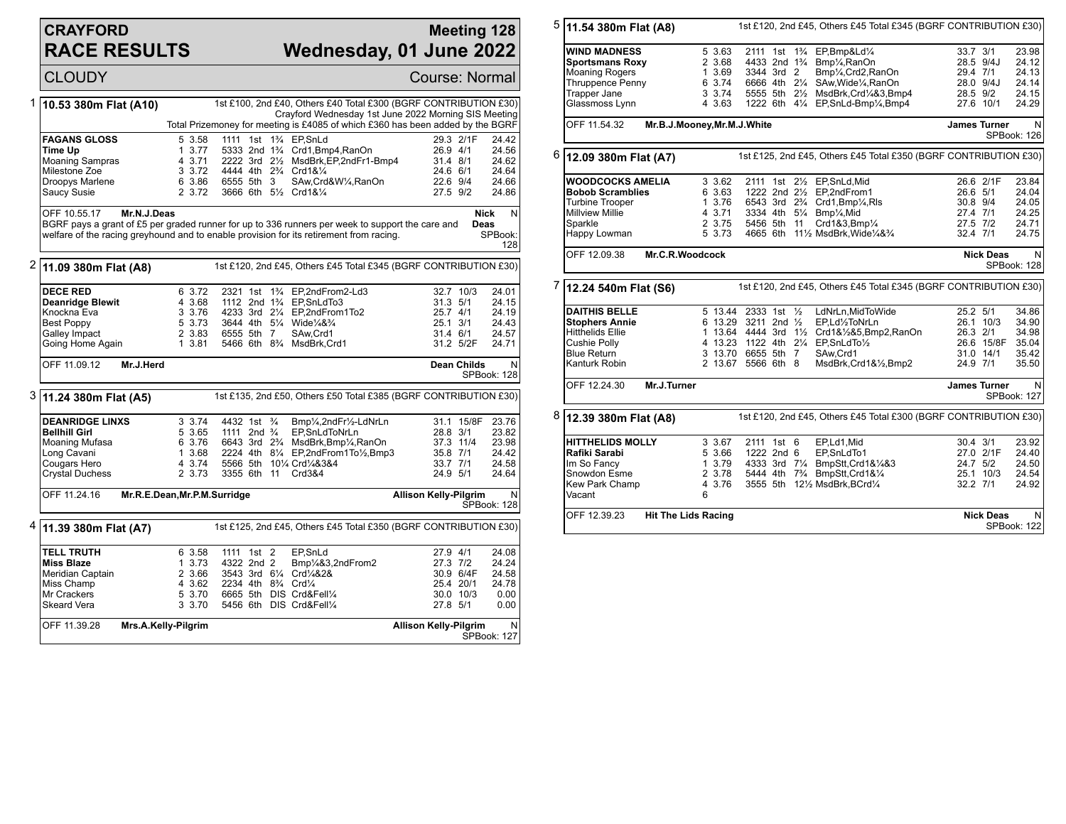## **CRAYFORD RACE RESULTS**

## **Meeting 128 Wednesday, 01 June 2022**

CLOUDY Course: Normal 1 **10.53 380m Flat (A10)** 1st £100, 2nd £40, Others £40 Total £300 (BGRF CONTRIBUTION £30) Crayford Wednesday 1st June 2022 Morning SIS Meeting Total Prizemoney for meeting is £4085 of which £360 has been added by the BGRF **FAGANS GLOSS** 5 3.58 1111 1st 1<sup>3</sup>/<sub>4</sub> EP, SnLd 29.3 2/1F 24.42<br> **Time Up** 1 3.77 5333 2nd 1<sup>3</sup>/<sub>4</sub> Crd1.Bmp4.RanOn 26.9 4/1 24.56 **Time Up** 1 3.77 5333 2nd 1¾ Crd1,Bmp4,RanOn 26.9 4/1 24.56<br>Moaning Sampras 4 3.71 2222 3rd 2½ MsdBrk,EP,2ndFr1-Bmp4 31.4 8/1 24.62 Moaning Sampras 4 3.71 2222 3rd 2½ MsdBrk,EP,2ndFr1-Bmp4 31.4 8/1 24.62 Milestone Zoe 3 3.72 4444 4th 2¾ Crd1&¼ 24.6 6/1 24.64 Droopys Marlene 6 3.86 6555 5th 3 SAw,Crd&W¼,RanOn 22.6 9/4 24.66 3666 6th 51/2 Crd1&1/4 OFF 10.55.17 **Mr.N.J.Deas** BGRF pays a grant of £5 per graded runner for up to 336 runners per week to support the care and welfare of the racing greyhound and to enable provision for its retirement from racing. **Nick Deas** N SPBook: 128 2 **11.09 380m Flat (A8)** 1st £120, 2nd £45, Others £45 Total £345 (BGRF CONTRIBUTION £30) **DECE RED** 6 3.72 2321 1st 1<sup>3</sup>/<sub>4</sub> EP,2ndFrom2-Ld3 32.7 10/3 24.01<br> **Deanridge Blewit** 4 3.68 1112 2nd 1<sup>3</sup>/<sub>4</sub> EP,SnLdTo3 31.3 5/1 24.15 **Deanridge Blewit** 4 3.68 1112 2nd 1¼ EP,SnLdTo3 31.3 5/1<br>Knockna Eva 3 3.76 4233 3rd 2¼ EP,2ndFrom1To2 25.7 4/1 Knockna Eva 3 3.76 4233 3rd 2¼ EP,2ndFrom1To2 25.7 4/1 24.19 Best Poppy 5 3.73 3644 4th 5¼ Wide¼&¾ 25.1 3/1 24.43 Galley Impact 2 3.83 6555 5th 7 SAw,Crd1 31.4 6/1 24.57 5466 6th 8<sup>3</sup>/<sub>4</sub> MsdBrk,Crd1 OFF 11.09.12 **Mr.J.Herd Dean Childs** N SPBook: 128 3 **11.24 380m Flat (A5)** 1st £135, 2nd £50, Others £50 Total £385 (BGRF CONTRIBUTION £30) **DEANRIDGE LINXS** 3 3.74 4432 1st ¾ Bmp¼,2ndFr½-LdNrLn 31.1 15/8F 23.76 **Bellhill Girl** 5 3.65 1111 2nd ¾ EP,SnLdToNrLn 28.8 3/1 23.82 Moaning Mufasa 6 3.76 6643 3rd 2¾ MsdBrk,Bmp¼,RanOn 37.3 11/4 23.98 Long Cavani 1 3.68 2224 4th 8¼ EP,2ndFrom1To½,Bmp3 35.8 7/1 24.42 Cougars Hero 4 3.74 5566 5th 10¼ Crd¼&3&4 33.7 7/1 24.58 3355 6th 11 Crd3&4 OFF 11.24.16 **Mr.R.E.Dean,Mr.P.M.Surridge Allison Kelly-Pilgrim** N SPBook: 128 4 **11.39 380m Flat (A7)** 1st £125, 2nd £45, Others £45 Total £350 (BGRF CONTRIBUTION £30) **TELL TRUTH** 6 3.58 1111 1st 2 EP,SnLd 27.9 4/1 24.08 **Miss Blaze** 1 3.73 4322 2nd 2 Bmp<sup>1</sup>/483,2ndFrom2 27.3 7/2 24.24<br>
Meridian Captain 2 3.66 3543 3rd 6<sup>1</sup>/4 Crd<sup>1</sup>/482& 30.9 6/4F 24.58 Meridian Captain 2 3.66 3543 3rd 6¼ Crd¼&2& 30.9 6/4F 24.58 Miss Champ 4 3.62 2234 4th 8¾ Crd¼ 25.4 20/1 24.78 Mr Crackers 5 3.70 6665 5th DIS Crd&Fell¼ 30.0 10/3 0.00 5456 6th DIS Crd&Fell1/4 OFF 11.39.28 **Mrs.A.Kelly-Pilgrim Allison Kelly-Pilgrim** N SPBook: 127

5 **11.54 380m Flat (A8)** 1st £120, 2nd £45, Others £45 Total £345 (BGRF CONTRIBUTION £30) **WIND MADNESS** 5 3.63 2111 1st 1¼ EP,Bmp&Ld¼ 33.7 3/1 23.98<br> **Sportsmans Roxy** 2 3.68 4433 2nd 1¼ Bmp¼ RanOn 28.5 9/4J 24.12 **Sportsmans Roxy** 2 3.68 4433 2nd 1¾ Bmp¼,RanOn 28.5 9/4J 24.12<br>Moaning Rogers 1 3.69 3344 3rd 2 Bmp¼,Crd2,RanOn 29.4 7/1 24.13 Moaning Rogers 1 3.69 3344 3rd 2 Bmp¼,Crd2,RanOn 29.4 7/1 24.13<br>19 Thruppence Penny 6 3.74 6666 4th 2¼ SAw,Wide¼,RanOn 28.0 9/4J 24.14 Thruppence Penny 6 3.74 6666 4th 21/4 SAw, Wide1/4, RanOn 28.0 9/4J 24.14<br>Trapper Jane 3 3.74 5555 5th 21/2 MsdBrk.Crd1/4&3.Bmp4 28.5 9/2 24.15 Trapper Jane 3 3.74 5555 5th 2<sup>1</sup>/<sub>2</sub> MsdBrk,Crd<sup>1</sup>/<sub>4</sub>&3,Bmp4 28.5 9/2 24.15<br>Glassmoss Lynn 4 3.63 1222 6th 4<sup>1</sup>/<sub>4</sub> EP,SnLd-Bmp1/<sub>4</sub>,Bmp4 27.6 10/1 24.29 1222 6th 41/4 EP,SnLd-Bmp1/<sub>4</sub>,Bmp4 OFF 11.54.32 **Mr.B.J.Mooney,Mr.M.J.White James Turner** N SPBook: 126 6 **12.09 380m Flat (A7)** 1st £125, 2nd £45, Others £45 Total £350 (BGRF CONTRIBUTION £30) **WOODCOCKS AMELIA** 3 3.62 2111 1st 2<sup>1</sup>/<sub>2</sub> EP,SnLd,Mid 26.6 2/1F 23.84<br>Bobob Scramblies 6 3.63 1222 2nd 2<sup>1</sup>/<sub>2</sub> EP,2ndFrom1 26.6 5/1 24.04 **Bobob Scramblies** 6 3.63 1222 2nd 2½ EP,2ndFrom1 26.6 5/1 24.04 Turbine Trooper 1 3.76 6543 3rd 2¾ Crd1,Bmp¼,Rls 30.8 9/4 24.05 Millview Millie 4 3.71 3334 4th 5¼ Bmp¼,Mid 27.4 7/1 24.25 Sparkle 2 3.75 5456 5th 11 Crd1&3,Bmp¼ 27.5 7/2 24.71<br>Happy Lowman 5 3.73 4665 6th 11½ MsdBrk,Wide¼&¾ 32.4 7/1 24.75 4665 6th 11½ MsdBrk, Wide¼&¾ OFF 12.09.38 **Mr.C.R.Woodcock Nick Deas** N SPBook: 128 7 **12.24 540m Flat (S6)** 1st £120, 2nd £45, Others £45 Total £345 (BGRF CONTRIBUTION £30) **DAITHIS BELLE** 5 13.44 2333 1st 1/<sub>2</sub> LdNrLn, MidToWide 25.2 5/1 34.86<br> **Stophers Annie** 6 13.29 3211 2nd 1/<sub>2</sub> EP, Ld<sup>1</sup>/<sub>2</sub>ToNrLn 26.1 10/3 34.90 **Stophers Annie** 6 13.29 3211 2nd ½ EP,Ld½ToNrLn 26.1 10/3 34.90 Hitthelids Ellie 1 13.64 4444 3rd 1½ Crd1&½&5,Bmp2,RanOn 26.3 2/1 34.98<br>Cushie Polly 1 13.23 1122 4th 21/4 EP,SnLdTo1/2 26.6 15/8F 35.04 Cushie Polly 4 13.23 1122 4th 2¼ EP,SnLdTo½ 26.6 15/8F 35.04 Blue Return 3 13.70 6655 5th 7 SAw,Crd1 31.0 14/1 35.42 2 13.67 5566 6th 8 OFF 12.24.30 **Mr.J.Turner James Turner** N SPBook: 127 8 **12.39 380m Flat (A8)** 1st £120, 2nd £45, Others £45 Total £300 (BGRF CONTRIBUTION £30) **HITTHELIDS MOLLY** 3 3.67 2111 1st 6 EP,Ld1,Mid 30.4 3/1 23.92<br>**Rafiki Sarabi** 5 3.66 1222 2nd 6 EP.SnLdTo1 37.0 2/1F 24.40 **Rafiki Sarabi** 5 3.66 1222 2nd 6 EP,SnLdTo1 27.0 2/1F 24.40 Im So Fancy 1 3.79 4333 3rd 7¼ BmpStt,Crd1&¼&3 24.7 5/2 24.50 Snowdon Esme 2 3.78 5444 4th 7¾ BmpStt,Crd1&¼ 25.1 10/3 24.54 4 3.76 3555 5th 12½ MsdBrk,BCrd1/4 Vacant OFF 12.39.23 **Hit The Lids Racing Nick Deas** N SPBook: 122